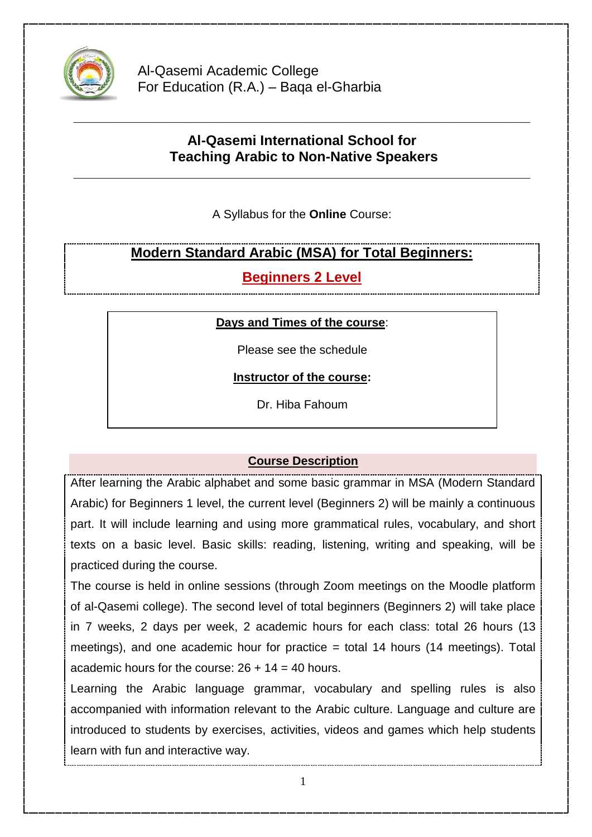

Al-Qasemi Academic College For Education (R.A.) – Baqa el-Gharbia

# **Al-Qasemi International School for Teaching Arabic to Non-Native Speakers**

**\_\_\_\_\_\_\_\_\_\_\_\_\_\_\_\_\_\_\_\_\_\_\_\_\_\_\_\_\_\_\_\_\_\_\_\_\_\_\_\_\_\_\_\_\_\_\_\_\_\_\_\_\_\_\_\_\_\_\_**

**\_\_\_\_\_\_\_\_\_\_\_\_\_\_\_\_\_\_\_\_\_\_\_\_\_\_\_\_\_\_\_\_\_\_\_\_\_\_\_\_\_\_\_\_\_\_\_\_\_\_\_\_\_\_\_\_\_\_\_**

A Syllabus for the **Online** Course:

# **Modern Standard Arabic (MSA) for Total Beginners:**

**Beginners 2 Level** 

### **Days and Times of the course**:

Please see the schedule

**Instructor of the course:**

Dr. Hiba Fahoum

## **Course Description**

After learning the Arabic alphabet and some basic grammar in MSA (Modern Standard Arabic) for Beginners 1 level, the current level (Beginners 2) will be mainly a continuous part. It will include learning and using more grammatical rules, vocabulary, and short texts on a basic level. Basic skills: reading, listening, writing and speaking, will be practiced during the course.

The course is held in online sessions (through Zoom meetings on the Moodle platform of al-Qasemi college). The second level of total beginners (Beginners 2) will take place in 7 weeks, 2 days per week, 2 academic hours for each class: total 26 hours (13 meetings), and one academic hour for practice = total 14 hours (14 meetings). Total academic hours for the course:  $26 + 14 = 40$  hours.

Learning the Arabic language grammar, vocabulary and spelling rules is also accompanied with information relevant to the Arabic culture. Language and culture are introduced to students by exercises, activities, videos and games which help students learn with fun and interactive way.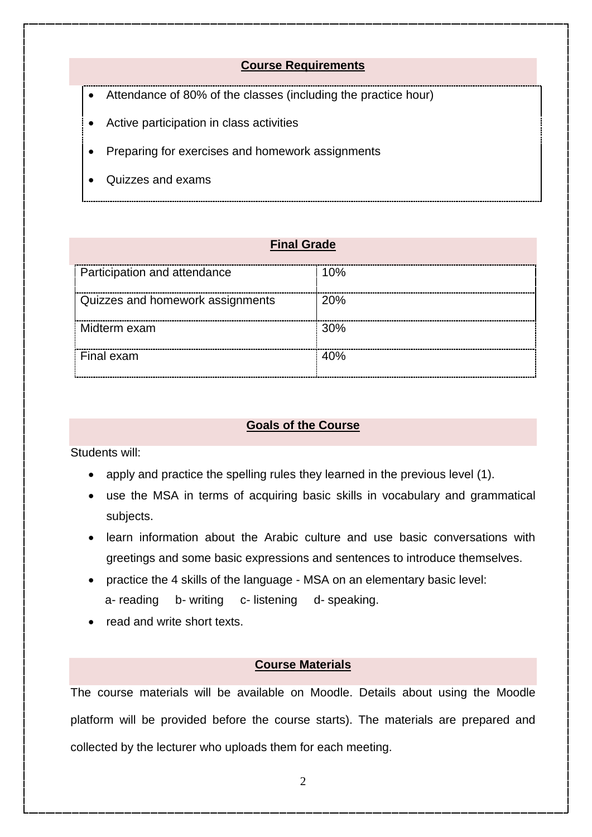#### **Course Requirements**

- Attendance of 80% of the classes (including the practice hour)
- Active participation in class activities
- Preparing for exercises and homework assignments
- Quizzes and exams

#### **Final Grade**

| <b>Participation and attendance</b> | 10% |
|-------------------------------------|-----|
| Quizzes and homework assignments    | 20% |
|                                     |     |
| Midterm exam                        | 30% |
| Final exam                          | 40% |
|                                     |     |

### **Goals of the Course**

Students will:

- apply and practice the spelling rules they learned in the previous level (1).
- use the MSA in terms of acquiring basic skills in vocabulary and grammatical subjects.
- learn information about the Arabic culture and use basic conversations with greetings and some basic expressions and sentences to introduce themselves.
- practice the 4 skills of the language MSA on an elementary basic level: a- reading b- writing c- listening d- speaking.
- read and write short texts.

#### **Course Materials**

The course materials will be available on Moodle. Details about using the Moodle platform will be provided before the course starts). The materials are prepared and collected by the lecturer who uploads them for each meeting.